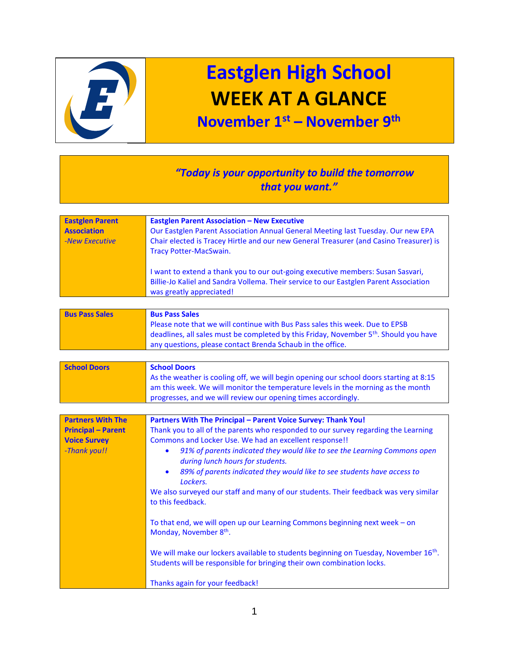

## **Eastglen High School WEEK AT A GLANCE**

## **November 1st – November 9 th**

## *"Today is your opportunity to build the tomorrow that you want."*

| <b>Eastglen Parent</b><br><b>Association</b><br>-New Executive | <b>Eastglen Parent Association - New Executive</b><br>Our Eastglen Parent Association Annual General Meeting last Tuesday. Our new EPA<br>Chair elected is Tracey Hirtle and our new General Treasurer (and Casino Treasurer) is<br><b>Tracy Potter-MacSwain.</b> |
|----------------------------------------------------------------|-------------------------------------------------------------------------------------------------------------------------------------------------------------------------------------------------------------------------------------------------------------------|
|                                                                | I want to extend a thank you to our out-going executive members: Susan Sasvari,<br>Billie-Jo Kaliel and Sandra Vollema. Their service to our Eastglen Parent Association<br>was greatly appreciated!                                                              |

| <b>Bus Pass Sales</b> | <b>Bus Pass Sales</b>                                                                   |
|-----------------------|-----------------------------------------------------------------------------------------|
|                       | Please note that we will continue with Bus Pass sales this week. Due to EPSB            |
|                       | deadlines, all sales must be completed by this Friday, November $5th$ . Should you have |
|                       | any questions, please contact Brenda Schaub in the office.                              |

| <b>School Doors</b> | <b>School Doors</b>                                                                    |
|---------------------|----------------------------------------------------------------------------------------|
|                     | As the weather is cooling off, we will begin opening our school doors starting at 8:15 |
|                     | am this week. We will monitor the temperature levels in the morning as the month       |
|                     | progresses, and we will review our opening times accordingly.                          |

| <b>Partners With The</b>  | Partners With The Principal - Parent Voice Survey: Thank You!                                                                                                              |
|---------------------------|----------------------------------------------------------------------------------------------------------------------------------------------------------------------------|
| <b>Principal – Parent</b> | Thank you to all of the parents who responded to our survey regarding the Learning                                                                                         |
| <b>Voice Survey</b>       | Commons and Locker Use. We had an excellent response!!                                                                                                                     |
| -Thank you!!              | 91% of parents indicated they would like to see the Learning Commons open<br>$\bullet$<br>during lunch hours for students.                                                 |
|                           | 89% of parents indicated they would like to see students have access to<br>$\bullet$<br>Lockers.                                                                           |
|                           | We also surveyed our staff and many of our students. Their feedback was very similar<br>to this feedback.                                                                  |
|                           | To that end, we will open up our Learning Commons beginning next week - on<br>Monday, November 8 <sup>th</sup> .                                                           |
|                           | We will make our lockers available to students beginning on Tuesday, November 16 <sup>th</sup> .<br>Students will be responsible for bringing their own combination locks. |
|                           | Thanks again for your feedback!                                                                                                                                            |